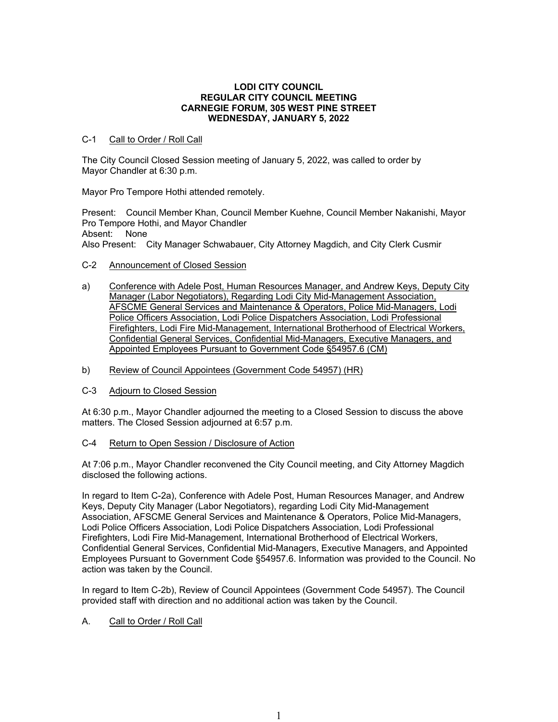### **LODI CITY COUNCIL REGULAR CITY COUNCIL MEETING CARNEGIE FORUM, 305 WEST PINE STREET WEDNESDAY, JANUARY 5, 2022**

## C-1 Call to Order / Roll Call

The City Council Closed Session meeting of January 5, 2022, was called to order by Mayor Chandler at 6:30 p.m.

Mayor Pro Tempore Hothi attended remotely.

Present: Council Member Khan, Council Member Kuehne, Council Member Nakanishi, Mayor Pro Tempore Hothi, and Mayor Chandler Absent: None

Also Present: City Manager Schwabauer, City Attorney Magdich, and City Clerk Cusmir

## C-2 Announcement of Closed Session

- a) Conference with Adele Post, Human Resources Manager, and Andrew Keys, Deputy City Manager (Labor Negotiators), Regarding Lodi City Mid-Management Association, AFSCME General Services and Maintenance & Operators, Police Mid-Managers, Lodi Police Officers Association, Lodi Police Dispatchers Association, Lodi Professional Firefighters, Lodi Fire Mid-Management, International Brotherhood of Electrical Workers, Confidential General Services, Confidential Mid-Managers, Executive Managers, and Appointed Employees Pursuant to Government Code §54957.6 (CM)
- b) Review of Council Appointees (Government Code 54957) (HR)
- C-3 Adjourn to Closed Session

At 6:30 p.m., Mayor Chandler adjourned the meeting to a Closed Session to discuss the above matters. The Closed Session adjourned at 6:57 p.m.

# C-4 Return to Open Session / Disclosure of Action

At 7:06 p.m., Mayor Chandler reconvened the City Council meeting, and City Attorney Magdich disclosed the following actions.

In regard to Item C-2a), Conference with Adele Post, Human Resources Manager, and Andrew Keys, Deputy City Manager (Labor Negotiators), regarding Lodi City Mid-Management Association, AFSCME General Services and Maintenance & Operators, Police Mid-Managers, Lodi Police Officers Association, Lodi Police Dispatchers Association, Lodi Professional Firefighters, Lodi Fire Mid-Management, International Brotherhood of Electrical Workers, Confidential General Services, Confidential Mid-Managers, Executive Managers, and Appointed Employees Pursuant to Government Code §54957.6. Information was provided to the Council. No action was taken by the Council.

In regard to Item C-2b), Review of Council Appointees (Government Code 54957). The Council provided staff with direction and no additional action was taken by the Council.

# A. Call to Order / Roll Call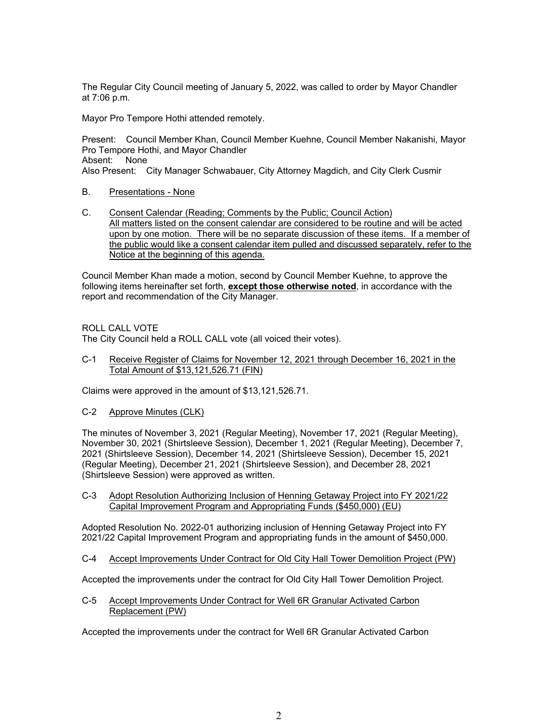The Regular City Council meeting of January 5, 2022, was called to order by Mayor Chandler at 7:06 p.m.

Mayor Pro Tempore Hothi attended remotely.

Present: Council Member Khan, Council Member Kuehne, Council Member Nakanishi, Mayor Pro Tempore Hothi, and Mayor Chandler Absent: None Also Present: City Manager Schwabauer, City Attorney Magdich, and City Clerk Cusmir

- B. Presentations None
- C. Consent Calendar (Reading; Comments by the Public; Council Action) All matters listed on the consent calendar are considered to be routine and will be acted upon by one motion. There will be no separate discussion of these items. If a member of the public would like a consent calendar item pulled and discussed separately, refer to the Notice at the beginning of this agenda.

Council Member Khan made a motion, second by Council Member Kuehne, to approve the following items hereinafter set forth, **except those otherwise noted**, in accordance with the report and recommendation of the City Manager.

ROLL CALL VOTE

The City Council held a ROLL CALL vote (all voiced their votes).

C-1 Receive Register of Claims for November 12, 2021 through December 16, 2021 in the Total Amount of \$13,121,526.71 (FIN)

Claims were approved in the amount of \$13,121,526.71.

C-2 Approve Minutes (CLK)

The minutes of November 3, 2021 (Regular Meeting), November 17, 2021 (Regular Meeting), November 30, 2021 (Shirtsleeve Session), December 1, 2021 (Regular Meeting), December 7, 2021 (Shirtsleeve Session), December 14, 2021 (Shirtsleeve Session), December 15, 2021 (Regular Meeting), December 21, 2021 (Shirtsleeve Session), and December 28, 2021 (Shirtsleeve Session) were approved as written.

C-3 Adopt Resolution Authorizing Inclusion of Henning Getaway Project into FY 2021/22 Capital Improvement Program and Appropriating Funds (\$450,000) (EU)

Adopted Resolution No. 2022-01 authorizing inclusion of Henning Getaway Project into FY 2021/22 Capital Improvement Program and appropriating funds in the amount of \$450,000.

C-4 Accept Improvements Under Contract for Old City Hall Tower Demolition Project (PW)

Accepted the improvements under the contract for Old City Hall Tower Demolition Project.

C-5 Accept Improvements Under Contract for Well 6R Granular Activated Carbon Replacement (PW)

Accepted the improvements under the contract for Well 6R Granular Activated Carbon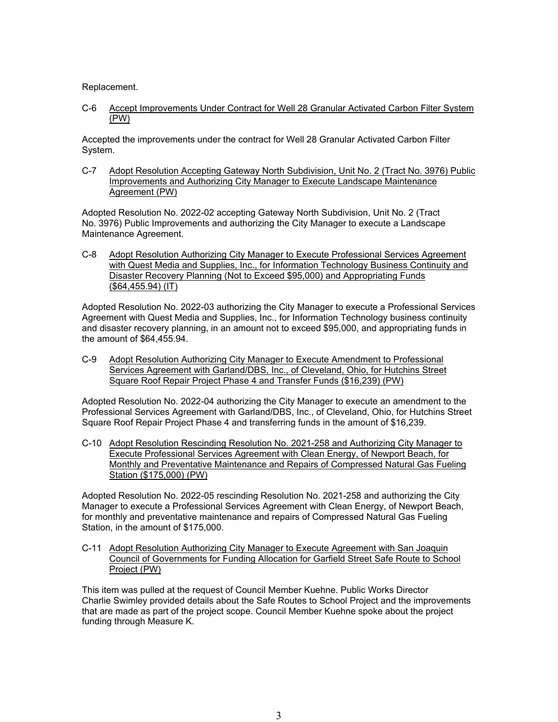Replacement.

C-6 Accept Improvements Under Contract for Well 28 Granular Activated Carbon Filter System (PW)

Accepted the improvements under the contract for Well 28 Granular Activated Carbon Filter System.

C-7 Adopt Resolution Accepting Gateway North Subdivision, Unit No. 2 (Tract No. 3976) Public Improvements and Authorizing City Manager to Execute Landscape Maintenance Agreement (PW)

Adopted Resolution No. 2022-02 accepting Gateway North Subdivision, Unit No. 2 (Tract No. 3976) Public Improvements and authorizing the City Manager to execute a Landscape Maintenance Agreement.

C-8 Adopt Resolution Authorizing City Manager to Execute Professional Services Agreement with Quest Media and Supplies, Inc., for Information Technology Business Continuity and Disaster Recovery Planning (Not to Exceed \$95,000) and Appropriating Funds (\$64,455.94) (IT)

Adopted Resolution No. 2022-03 authorizing the City Manager to execute a Professional Services Agreement with Quest Media and Supplies, Inc., for Information Technology business continuity and disaster recovery planning, in an amount not to exceed \$95,000, and appropriating funds in the amount of \$64,455.94.

C-9 Adopt Resolution Authorizing City Manager to Execute Amendment to Professional Services Agreement with Garland/DBS, Inc., of Cleveland, Ohio, for Hutchins Street Square Roof Repair Project Phase 4 and Transfer Funds (\$16,239) (PW)

Adopted Resolution No. 2022-04 authorizing the City Manager to execute an amendment to the Professional Services Agreement with Garland/DBS, Inc., of Cleveland, Ohio, for Hutchins Street Square Roof Repair Project Phase 4 and transferring funds in the amount of \$16,239.

C-10 Adopt Resolution Rescinding Resolution No. 2021-258 and Authorizing City Manager to Execute Professional Services Agreement with Clean Energy, of Newport Beach, for Monthly and Preventative Maintenance and Repairs of Compressed Natural Gas Fueling Station (\$175,000) (PW)

Adopted Resolution No. 2022-05 rescinding Resolution No. 2021-258 and authorizing the City Manager to execute a Professional Services Agreement with Clean Energy, of Newport Beach, for monthly and preventative maintenance and repairs of Compressed Natural Gas Fueling Station, in the amount of \$175,000.

C-11 Adopt Resolution Authorizing City Manager to Execute Agreement with San Joaquin Council of Governments for Funding Allocation for Garfield Street Safe Route to School Project (PW)

This item was pulled at the request of Council Member Kuehne. Public Works Director Charlie Swimley provided details about the Safe Routes to School Project and the improvements that are made as part of the project scope. Council Member Kuehne spoke about the project funding through Measure K.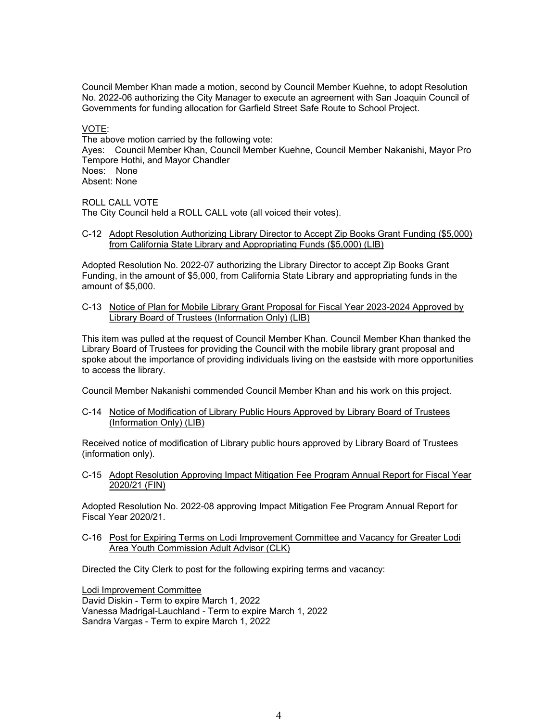Council Member Khan made a motion, second by Council Member Kuehne, to adopt Resolution No. 2022-06 authorizing the City Manager to execute an agreement with San Joaquin Council of Governments for funding allocation for Garfield Street Safe Route to School Project.

#### VOTE:

The above motion carried by the following vote: Ayes: Council Member Khan, Council Member Kuehne, Council Member Nakanishi, Mayor Pro Tempore Hothi, and Mayor Chandler Noes: None Absent: None

#### ROLL CALL VOTE

The City Council held a ROLL CALL vote (all voiced their votes).

C-12 Adopt Resolution Authorizing Library Director to Accept Zip Books Grant Funding (\$5,000) from California State Library and Appropriating Funds (\$5,000) (LIB)

Adopted Resolution No. 2022-07 authorizing the Library Director to accept Zip Books Grant Funding, in the amount of \$5,000, from California State Library and appropriating funds in the amount of \$5,000.

C-13 Notice of Plan for Mobile Library Grant Proposal for Fiscal Year 2023-2024 Approved by Library Board of Trustees (Information Only) (LIB)

This item was pulled at the request of Council Member Khan. Council Member Khan thanked the Library Board of Trustees for providing the Council with the mobile library grant proposal and spoke about the importance of providing individuals living on the eastside with more opportunities to access the library.

Council Member Nakanishi commended Council Member Khan and his work on this project.

C-14 Notice of Modification of Library Public Hours Approved by Library Board of Trustees (Information Only) (LIB)

Received notice of modification of Library public hours approved by Library Board of Trustees (information only).

C-15 Adopt Resolution Approving Impact Mitigation Fee Program Annual Report for Fiscal Year 2020/21 (FIN)

Adopted Resolution No. 2022-08 approving Impact Mitigation Fee Program Annual Report for Fiscal Year 2020/21.

C-16 Post for Expiring Terms on Lodi Improvement Committee and Vacancy for Greater Lodi Area Youth Commission Adult Advisor (CLK)

Directed the City Clerk to post for the following expiring terms and vacancy:

Lodi Improvement Committee

David Diskin - Term to expire March 1, 2022 Vanessa Madrigal-Lauchland - Term to expire March 1, 2022 Sandra Vargas - Term to expire March 1, 2022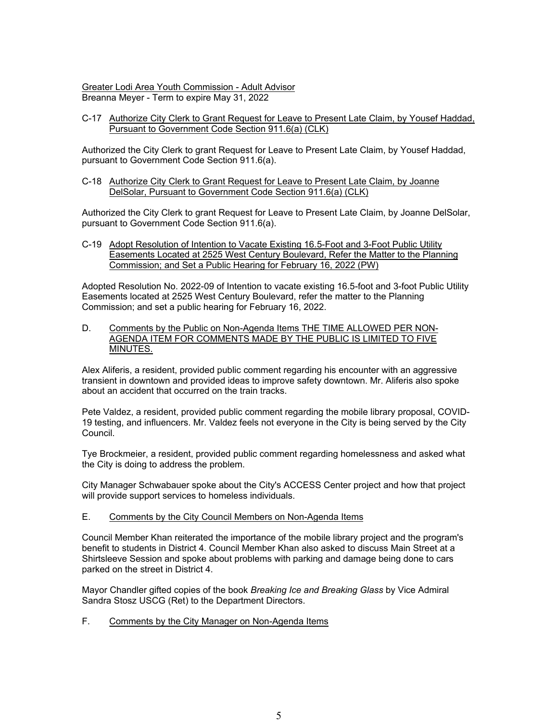Greater Lodi Area Youth Commission - Adult Advisor Breanna Meyer - Term to expire May 31, 2022

C-17 Authorize City Clerk to Grant Request for Leave to Present Late Claim, by Yousef Haddad, Pursuant to Government Code Section 911.6(a) (CLK)

Authorized the City Clerk to grant Request for Leave to Present Late Claim, by Yousef Haddad, pursuant to Government Code Section 911.6(a).

C-18 Authorize City Clerk to Grant Request for Leave to Present Late Claim, by Joanne DelSolar, Pursuant to Government Code Section 911.6(a) (CLK)

Authorized the City Clerk to grant Request for Leave to Present Late Claim, by Joanne DelSolar, pursuant to Government Code Section 911.6(a).

C-19 Adopt Resolution of Intention to Vacate Existing 16.5-Foot and 3-Foot Public Utility Easements Located at 2525 West Century Boulevard, Refer the Matter to the Planning Commission; and Set a Public Hearing for February 16, 2022 (PW)

Adopted Resolution No. 2022-09 of Intention to vacate existing 16.5-foot and 3-foot Public Utility Easements located at 2525 West Century Boulevard, refer the matter to the Planning Commission; and set a public hearing for February 16, 2022.

D. Comments by the Public on Non-Agenda Items THE TIME ALLOWED PER NON-AGENDA ITEM FOR COMMENTS MADE BY THE PUBLIC IS LIMITED TO FIVE MINUTES.

Alex Aliferis, a resident, provided public comment regarding his encounter with an aggressive transient in downtown and provided ideas to improve safety downtown. Mr. Aliferis also spoke about an accident that occurred on the train tracks.

Pete Valdez, a resident, provided public comment regarding the mobile library proposal, COVID-19 testing, and influencers. Mr. Valdez feels not everyone in the City is being served by the City Council.

Tye Brockmeier, a resident, provided public comment regarding homelessness and asked what the City is doing to address the problem.

City Manager Schwabauer spoke about the City's ACCESS Center project and how that project will provide support services to homeless individuals.

## E. Comments by the City Council Members on Non-Agenda Items

Council Member Khan reiterated the importance of the mobile library project and the program's benefit to students in District 4. Council Member Khan also asked to discuss Main Street at a Shirtsleeve Session and spoke about problems with parking and damage being done to cars parked on the street in District 4.

Mayor Chandler gifted copies of the book *Breaking Ice and Breaking Glass* by Vice Admiral Sandra Stosz USCG (Ret) to the Department Directors.

# F. Comments by the City Manager on Non-Agenda Items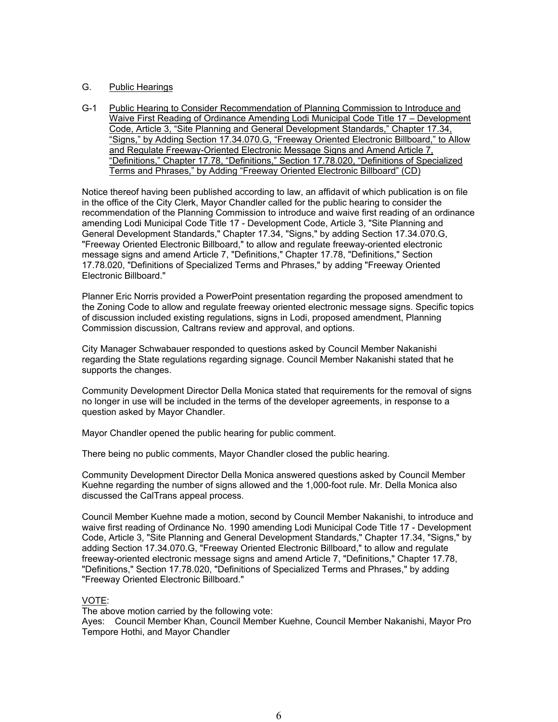## G. Public Hearings

G-1 Public Hearing to Consider Recommendation of Planning Commission to Introduce and Waive First Reading of Ordinance Amending Lodi Municipal Code Title 17 – Development Code, Article 3, "Site Planning and General Development Standards," Chapter 17.34, "Signs," by Adding Section 17.34.070.G, "Freeway Oriented Electronic Billboard," to Allow and Regulate Freeway-Oriented Electronic Message Signs and Amend Article 7, "Definitions," Chapter 17.78, "Definitions," Section 17.78.020, "Definitions of Specialized Terms and Phrases," by Adding "Freeway Oriented Electronic Billboard" (CD)

Notice thereof having been published according to law, an affidavit of which publication is on file in the office of the City Clerk, Mayor Chandler called for the public hearing to consider the recommendation of the Planning Commission to introduce and waive first reading of an ordinance amending Lodi Municipal Code Title 17 - Development Code, Article 3, "Site Planning and General Development Standards," Chapter 17.34, "Signs," by adding Section 17.34.070.G, "Freeway Oriented Electronic Billboard," to allow and regulate freeway-oriented electronic message signs and amend Article 7, "Definitions," Chapter 17.78, "Definitions," Section 17.78.020, "Definitions of Specialized Terms and Phrases," by adding "Freeway Oriented Electronic Billboard."

Planner Eric Norris provided a PowerPoint presentation regarding the proposed amendment to the Zoning Code to allow and regulate freeway oriented electronic message signs. Specific topics of discussion included existing regulations, signs in Lodi, proposed amendment, Planning Commission discussion, Caltrans review and approval, and options.

City Manager Schwabauer responded to questions asked by Council Member Nakanishi regarding the State regulations regarding signage. Council Member Nakanishi stated that he supports the changes.

Community Development Director Della Monica stated that requirements for the removal of signs no longer in use will be included in the terms of the developer agreements, in response to a question asked by Mayor Chandler.

Mayor Chandler opened the public hearing for public comment.

There being no public comments, Mayor Chandler closed the public hearing.

Community Development Director Della Monica answered questions asked by Council Member Kuehne regarding the number of signs allowed and the 1,000-foot rule. Mr. Della Monica also discussed the CalTrans appeal process.

Council Member Kuehne made a motion, second by Council Member Nakanishi, to introduce and waive first reading of Ordinance No. 1990 amending Lodi Municipal Code Title 17 - Development Code, Article 3, "Site Planning and General Development Standards," Chapter 17.34, "Signs," by adding Section 17.34.070.G, "Freeway Oriented Electronic Billboard," to allow and regulate freeway-oriented electronic message signs and amend Article 7, "Definitions," Chapter 17.78, "Definitions," Section 17.78.020, "Definitions of Specialized Terms and Phrases," by adding "Freeway Oriented Electronic Billboard."

### VOTE:

The above motion carried by the following vote:

Ayes: Council Member Khan, Council Member Kuehne, Council Member Nakanishi, Mayor Pro Tempore Hothi, and Mayor Chandler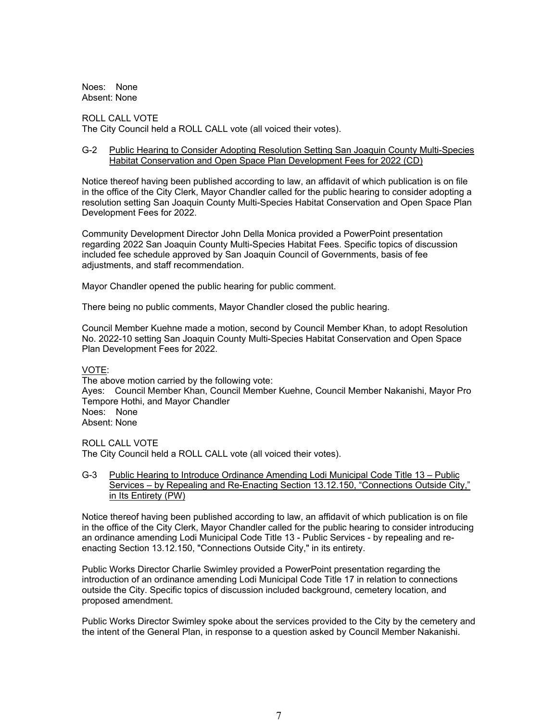Noes: None Absent: None

ROLL CALL VOTE The City Council held a ROLL CALL vote (all voiced their votes).

#### G-2 Public Hearing to Consider Adopting Resolution Setting San Joaquin County Multi-Species Habitat Conservation and Open Space Plan Development Fees for 2022 (CD)

Notice thereof having been published according to law, an affidavit of which publication is on file in the office of the City Clerk, Mayor Chandler called for the public hearing to consider adopting a resolution setting San Joaquin County Multi-Species Habitat Conservation and Open Space Plan Development Fees for 2022.

Community Development Director John Della Monica provided a PowerPoint presentation regarding 2022 San Joaquin County Multi-Species Habitat Fees. Specific topics of discussion included fee schedule approved by San Joaquin Council of Governments, basis of fee adjustments, and staff recommendation.

Mayor Chandler opened the public hearing for public comment.

There being no public comments, Mayor Chandler closed the public hearing.

Council Member Kuehne made a motion, second by Council Member Khan, to adopt Resolution No. 2022-10 setting San Joaquin County Multi-Species Habitat Conservation and Open Space Plan Development Fees for 2022.

### VOTE:

The above motion carried by the following vote: Ayes: Council Member Khan, Council Member Kuehne, Council Member Nakanishi, Mayor Pro Tempore Hothi, and Mayor Chandler Noes: None Absent: None

ROLL CALL VOTE

The City Council held a ROLL CALL vote (all voiced their votes).

G-3 Public Hearing to Introduce Ordinance Amending Lodi Municipal Code Title 13 – Public Services – by Repealing and Re-Enacting Section 13.12.150, "Connections Outside City," in Its Entirety (PW)

Notice thereof having been published according to law, an affidavit of which publication is on file in the office of the City Clerk, Mayor Chandler called for the public hearing to consider introducing an ordinance amending Lodi Municipal Code Title 13 - Public Services - by repealing and reenacting Section 13.12.150, "Connections Outside City," in its entirety.

Public Works Director Charlie Swimley provided a PowerPoint presentation regarding the introduction of an ordinance amending Lodi Municipal Code Title 17 in relation to connections outside the City. Specific topics of discussion included background, cemetery location, and proposed amendment.

Public Works Director Swimley spoke about the services provided to the City by the cemetery and the intent of the General Plan, in response to a question asked by Council Member Nakanishi.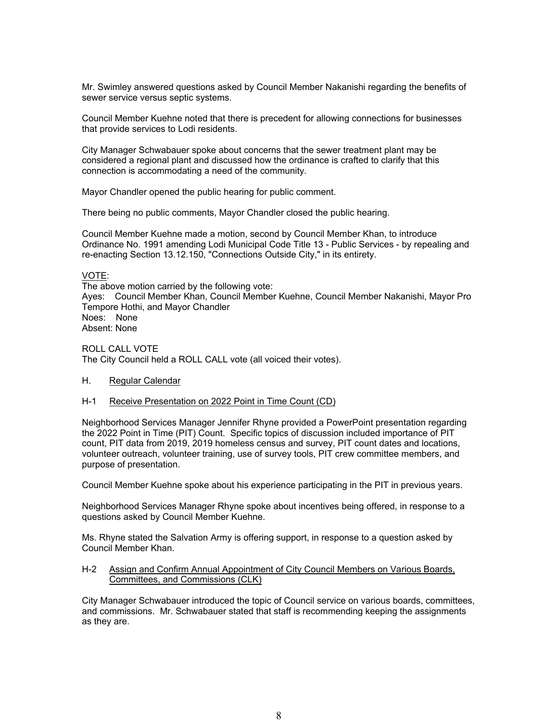Mr. Swimley answered questions asked by Council Member Nakanishi regarding the benefits of sewer service versus septic systems.

Council Member Kuehne noted that there is precedent for allowing connections for businesses that provide services to Lodi residents.

City Manager Schwabauer spoke about concerns that the sewer treatment plant may be considered a regional plant and discussed how the ordinance is crafted to clarify that this connection is accommodating a need of the community.

Mayor Chandler opened the public hearing for public comment.

There being no public comments, Mayor Chandler closed the public hearing.

Council Member Kuehne made a motion, second by Council Member Khan, to introduce Ordinance No. 1991 amending Lodi Municipal Code Title 13 - Public Services - by repealing and re-enacting Section 13.12.150, "Connections Outside City," in its entirety.

#### VOTE:

The above motion carried by the following vote: Ayes: Council Member Khan, Council Member Kuehne, Council Member Nakanishi, Mayor Pro Tempore Hothi, and Mayor Chandler Noes: None Absent: None

ROLL CALL VOTE The City Council held a ROLL CALL vote (all voiced their votes).

### H. Regular Calendar

## H-1 Receive Presentation on 2022 Point in Time Count (CD)

Neighborhood Services Manager Jennifer Rhyne provided a PowerPoint presentation regarding the 2022 Point in Time (PIT) Count. Specific topics of discussion included importance of PIT count, PIT data from 2019, 2019 homeless census and survey, PIT count dates and locations, volunteer outreach, volunteer training, use of survey tools, PIT crew committee members, and purpose of presentation.

Council Member Kuehne spoke about his experience participating in the PIT in previous years.

Neighborhood Services Manager Rhyne spoke about incentives being offered, in response to a questions asked by Council Member Kuehne.

Ms. Rhyne stated the Salvation Army is offering support, in response to a question asked by Council Member Khan.

#### H-2 Assign and Confirm Annual Appointment of City Council Members on Various Boards, Committees, and Commissions (CLK)

City Manager Schwabauer introduced the topic of Council service on various boards, committees, and commissions. Mr. Schwabauer stated that staff is recommending keeping the assignments as they are.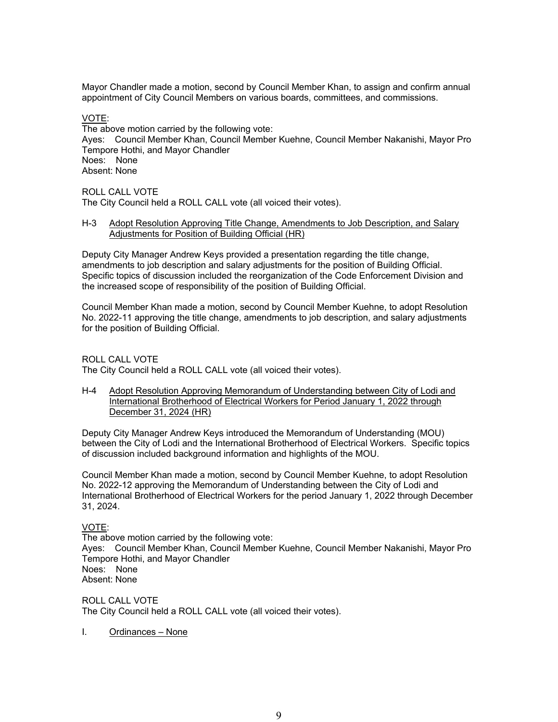Mayor Chandler made a motion, second by Council Member Khan, to assign and confirm annual appointment of City Council Members on various boards, committees, and commissions.

VOTE:

The above motion carried by the following vote: Ayes: Council Member Khan, Council Member Kuehne, Council Member Nakanishi, Mayor Pro Tempore Hothi, and Mayor Chandler Noes: None Absent: None

ROLL CALL VOTE

The City Council held a ROLL CALL vote (all voiced their votes).

### H-3 Adopt Resolution Approving Title Change, Amendments to Job Description, and Salary Adjustments for Position of Building Official (HR)

Deputy City Manager Andrew Keys provided a presentation regarding the title change, amendments to job description and salary adjustments for the position of Building Official. Specific topics of discussion included the reorganization of the Code Enforcement Division and the increased scope of responsibility of the position of Building Official.

Council Member Khan made a motion, second by Council Member Kuehne, to adopt Resolution No. 2022-11 approving the title change, amendments to job description, and salary adjustments for the position of Building Official.

ROLL CALL VOTE The City Council held a ROLL CALL vote (all voiced their votes).

H-4 Adopt Resolution Approving Memorandum of Understanding between City of Lodi and International Brotherhood of Electrical Workers for Period January 1, 2022 through December 31, 2024 (HR)

Deputy City Manager Andrew Keys introduced the Memorandum of Understanding (MOU) between the City of Lodi and the International Brotherhood of Electrical Workers. Specific topics of discussion included background information and highlights of the MOU.

Council Member Khan made a motion, second by Council Member Kuehne, to adopt Resolution No. 2022-12 approving the Memorandum of Understanding between the City of Lodi and International Brotherhood of Electrical Workers for the period January 1, 2022 through December 31, 2024.

VOTE:

The above motion carried by the following vote: Ayes: Council Member Khan, Council Member Kuehne, Council Member Nakanishi, Mayor Pro Tempore Hothi, and Mayor Chandler Noes: None Absent: None

ROLL CALL VOTE The City Council held a ROLL CALL vote (all voiced their votes).

I. Ordinances – None